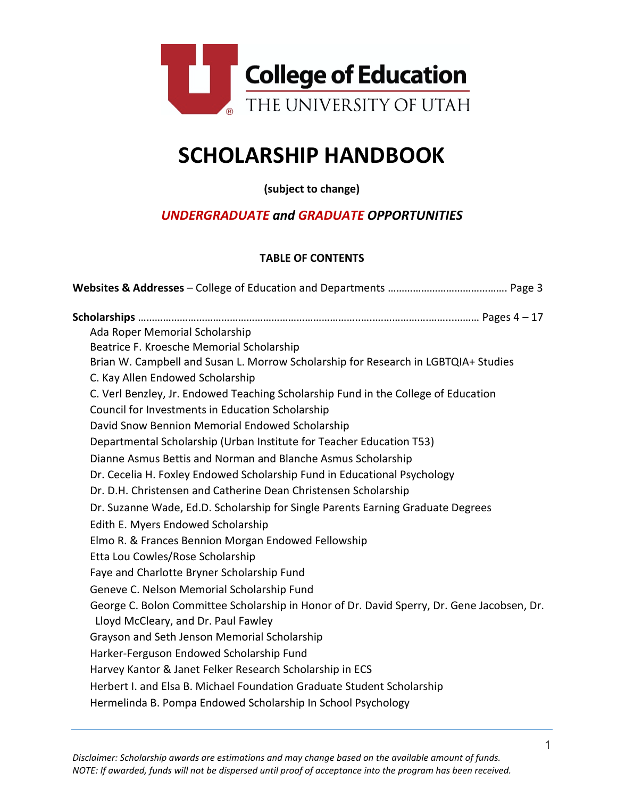

# **SCHOLARSHIP HANDBOOK**

**(subject to change)**

# *UNDERGRADUATE and GRADUATE OPPORTUNITIES*

# **TABLE OF CONTENTS**

| Ada Roper Memorial Scholarship                                                                                                    |
|-----------------------------------------------------------------------------------------------------------------------------------|
| Beatrice F. Kroesche Memorial Scholarship                                                                                         |
| Brian W. Campbell and Susan L. Morrow Scholarship for Research in LGBTQIA+ Studies                                                |
| C. Kay Allen Endowed Scholarship                                                                                                  |
| C. Verl Benzley, Jr. Endowed Teaching Scholarship Fund in the College of Education                                                |
| Council for Investments in Education Scholarship                                                                                  |
| David Snow Bennion Memorial Endowed Scholarship                                                                                   |
| Departmental Scholarship (Urban Institute for Teacher Education T53)                                                              |
| Dianne Asmus Bettis and Norman and Blanche Asmus Scholarship                                                                      |
| Dr. Cecelia H. Foxley Endowed Scholarship Fund in Educational Psychology                                                          |
| Dr. D.H. Christensen and Catherine Dean Christensen Scholarship                                                                   |
| Dr. Suzanne Wade, Ed.D. Scholarship for Single Parents Earning Graduate Degrees                                                   |
| Edith E. Myers Endowed Scholarship                                                                                                |
| Elmo R. & Frances Bennion Morgan Endowed Fellowship                                                                               |
| Etta Lou Cowles/Rose Scholarship                                                                                                  |
| Faye and Charlotte Bryner Scholarship Fund                                                                                        |
| Geneve C. Nelson Memorial Scholarship Fund                                                                                        |
| George C. Bolon Committee Scholarship in Honor of Dr. David Sperry, Dr. Gene Jacobsen, Dr.<br>Lloyd McCleary, and Dr. Paul Fawley |
| Grayson and Seth Jenson Memorial Scholarship                                                                                      |
| Harker-Ferguson Endowed Scholarship Fund                                                                                          |
| Harvey Kantor & Janet Felker Research Scholarship in ECS                                                                          |
| Herbert I. and Elsa B. Michael Foundation Graduate Student Scholarship                                                            |
| Hermelinda B. Pompa Endowed Scholarship In School Psychology                                                                      |
|                                                                                                                                   |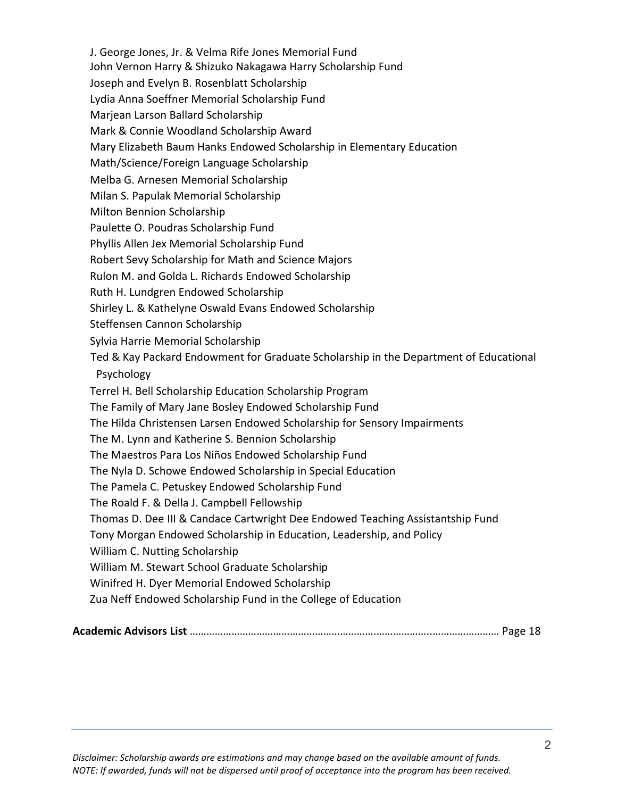J. George Jones, Jr. & Velma Rife Jones Memorial Fund John Vernon Harry & Shizuko Nakagawa Harry Scholarship Fund Joseph and Evelyn B. Rosenblatt Scholarship Lydia Anna Soeffner Memorial Scholarship Fund Marjean Larson Ballard Scholarship Mark & Connie Woodland Scholarship Award Mary Elizabeth Baum Hanks Endowed Scholarship in Elementary Education Math/Science/Foreign Language Scholarship Melba G. Arnesen Memorial Scholarship Milan S. Papulak Memorial Scholarship Milton Bennion Scholarship Paulette O. Poudras Scholarship Fund Phyllis Allen Jex Memorial Scholarship Fund Robert Sevy Scholarship for Math and Science Majors Rulon M. and Golda L. Richards Endowed Scholarship Ruth H. Lundgren Endowed Scholarship Shirley L. & Kathelyne Oswald Evans Endowed Scholarship Steffensen Cannon Scholarship Sylvia Harrie Memorial Scholarship Ted & Kay Packard Endowment for Graduate Scholarship in the Department of Educational Psychology Terrel H. Bell Scholarship Education Scholarship Program The Family of Mary Jane Bosley Endowed Scholarship Fund The Hilda Christensen Larsen Endowed Scholarship for Sensory Impairments The M. Lynn and Katherine S. Bennion Scholarship The Maestros Para Los Niños Endowed Scholarship Fund The Nyla D. Schowe Endowed Scholarship in Special Education The Pamela C. Petuskey Endowed Scholarship Fund The Roald F. & Della J. Campbell Fellowship Thomas D. Dee III & Candace Cartwright Dee Endowed Teaching Assistantship Fund Tony Morgan Endowed Scholarship in Education, Leadership, and Policy William C. Nutting Scholarship William M. Stewart School Graduate Scholarship Winifred H. Dyer Memorial Endowed Scholarship Zua Neff Endowed Scholarship Fund in the College of Education

|--|--|--|--|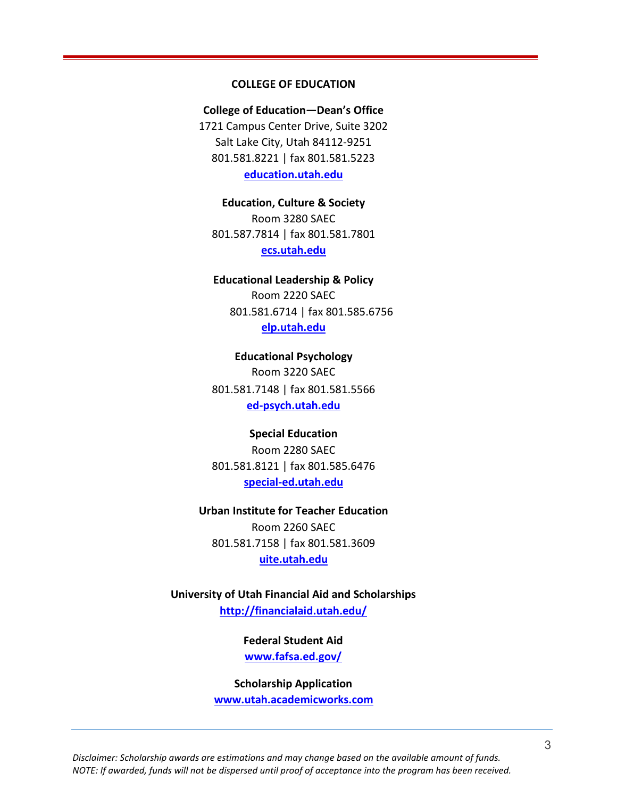#### **COLLEGE OF EDUCATION**

**College of Education—Dean's Office** 1721 Campus Center Drive, Suite 3202 Salt Lake City, Utah 84112-9251 801.581.8221 | fax 801.581.5223 **education.utah.edu**

**Education, Culture & Society** Room 3280 SAEC 801.587.7814 | fax 801.581.7801 **ecs.utah.edu**

# **Educational Leadership & Policy** Room 2220 SAEC 801.581.6714 | fax 801.585.6756 **elp.utah.edu**

**Educational Psychology** Room 3220 SAEC 801.581.7148 | fax 801.581.5566 **ed-psych.utah.edu**

# **Special Education** Room 2280 SAEC 801.581.8121 | fax 801.585.6476

**special-ed.utah.edu**

# **Urban Institute for Teacher Education** Room 2260 SAEC 801.581.7158 | fax 801.581.3609 **uite.utah.edu**

**University of Utah Financial Aid and Scholarships <http://financialaid.utah.edu/>**

> **Federal Student Aid [www.fafsa.ed.gov/](http://www.fafsa.ed.gov/)**

**Scholarship Application www.utah.academicworks.com**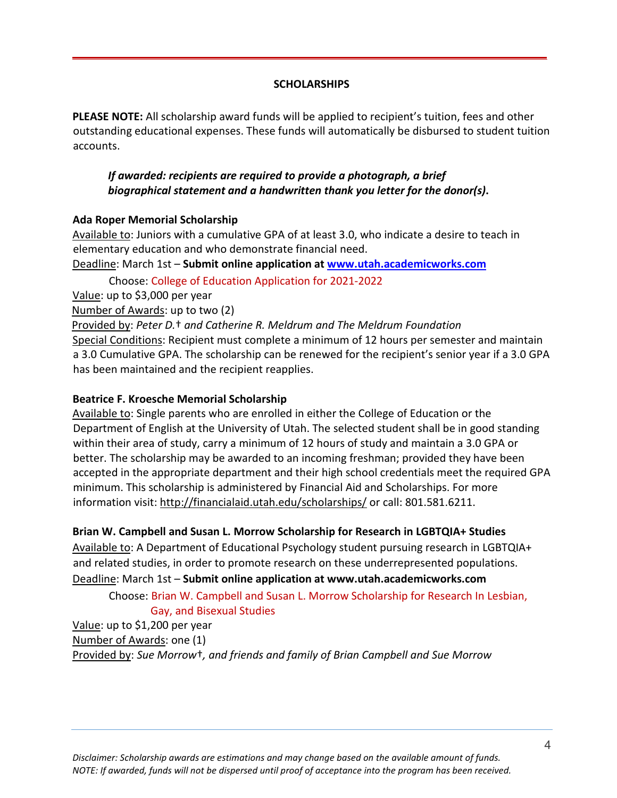## **SCHOLARSHIPS**

**PLEASE NOTE:** All scholarship award funds will be applied to recipient's tuition, fees and other outstanding educational expenses. These funds will automatically be disbursed to student tuition accounts.

# *If awarded: recipients are required to provide a photograph, a brief biographical statement and a handwritten thank you letter for the donor(s)***.**

#### **Ada Roper Memorial Scholarship**

Available to: Juniors with a cumulative GPA of at least 3.0, who indicate a desire to teach in elementary education and who demonstrate financial need.

Deadline: March 1st – **Submit online application at www.utah.academicworks.com**

Choose: College of Education Application for 2021-2022

Value: up to \$3,000 per year

Number of Awards: up to two (2)

Provided by: *Peter D.*† *and Catherine R. Meldrum and The Meldrum Foundation*

Special Conditions: Recipient must complete a minimum of 12 hours per semester and maintain a 3.0 Cumulative GPA. The scholarship can be renewed for the recipient's senior year if a 3.0 GPA has been maintained and the recipient reapplies.

#### **Beatrice F. Kroesche Memorial Scholarship**

Available to: Single parents who are enrolled in either the College of Education or the Department of English at the University of Utah. The selected student shall be in good standing within their area of study, carry a minimum of 12 hours of study and maintain a 3.0 GPA or better. The scholarship may be awarded to an incoming freshman; provided they have been accepted in the appropriate department and their high school credentials meet the required GPA minimum. This scholarship is administered by Financial Aid and Scholarships. For more information visit: [h](http://financialaid.utah.edu/%3B)ttp://financialaid.utah.edu/scholarships/ [o](http://financialaid.utah.edu/%3B)r call: 801.581.6211.

# **Brian W. Campbell and Susan L. Morrow Scholarship for Research in LGBTQIA+ Studies**

Available to: A Department of Educational Psychology student pursuing research in LGBTQIA+ and related studies, in order to promote research on these underrepresented populations.

Deadline: March 1st – **Submit online application at [www.utah.academicworks.com](http://www.utah.academicworks.com/)**

Choose: Brian W. Campbell and Susan L. Morrow Scholarship for Research In Lesbian, Gay, and Bisexual Studies

Value: up to \$1,200 per year Number of Awards: one (1) Provided by: *Sue Morrow*†*, and friends and family of Brian Campbell and Sue Morrow*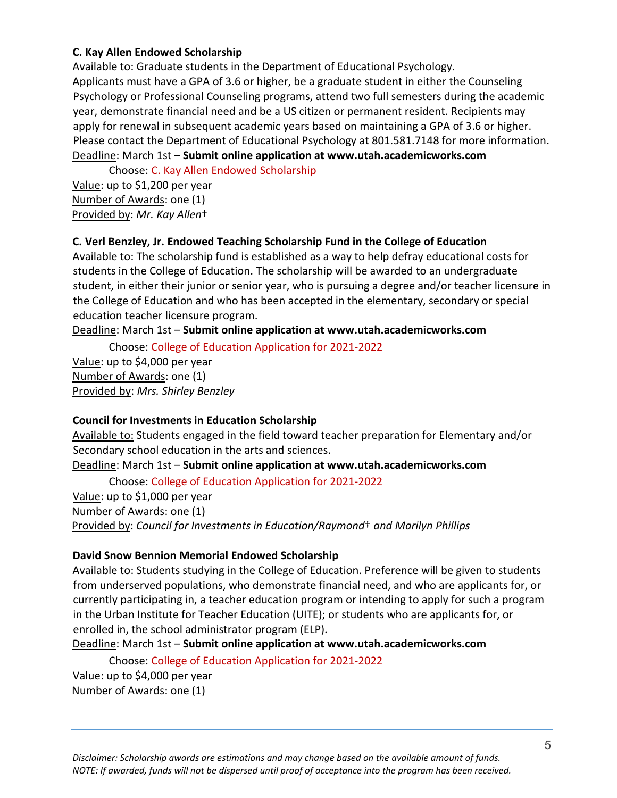#### **C. Kay Allen Endowed Scholarship**

Available to: Graduate students in the Department of Educational Psychology. Applicants must have a GPA of 3.6 or higher, be a graduate student in either the Counseling Psychology or Professional Counseling programs, attend two full semesters during the academic year, demonstrate financial need and be a US citizen or permanent resident. Recipients may apply for renewal in subsequent academic years based on maintaining a GPA of 3.6 or higher. Please contact the Department of Educational Psychology at 801.581.7148 for more information. Deadline: March 1st – **Submit online application at [www.utah.academicworks.com](http://www.utah.academicworks.com/)**

Choose: C. Kay Allen Endowed Scholarship

Value: up to \$1,200 per year Number of Awards: one (1) Provided by: *Mr. Kay Allen*†

# **C. Verl Benzley, Jr. Endowed Teaching Scholarship Fund in the College of Education**

Available to: The scholarship fund is established as a way to help defray educational costs for students in the College of Education. The scholarship will be awarded to an undergraduate student, in either their junior or senior year, who is pursuing a degree and/or teacher licensure in the College of Education and who has been accepted in the elementary, secondary or special education teacher licensure program.

Deadline: March 1st – **Submit online application at www.utah.academicworks.com**

Choose: College of Education Application for 2021-2022

Value: up to \$4,000 per year Number of Awards: one (1) Provided by: *Mrs. Shirley Benzley*

# **Council for Investments in Education Scholarship**

Available to: Students engaged in the field toward teacher preparation for Elementary and/or Secondary school education in the arts and sciences.

Deadline: March 1st – **Submit online application at www.utah.academicworks.com**

Choose: College of Education Application for 2021-2022 Value: up to \$1,000 per year Number of Awards: one (1) Provided by: *Council for Investments in Education/Raymond*† *and Marilyn Phillips*

# **David Snow Bennion Memorial Endowed Scholarship**

Available to: Students studying in the College of Education. Preference will be given to students from underserved populations, who demonstrate financial need, and who are applicants for, or currently participating in, a teacher education program or intending to apply for such a program in the Urban Institute for Teacher Education (UITE); or students who are applicants for, or enrolled in, the school administrator program (ELP).

Deadline: March 1st – **Submit online application at www.utah.academicworks.com**

Choose: College of Education Application for 2021-2022

Value: up to \$4,000 per year Number of Awards: one (1)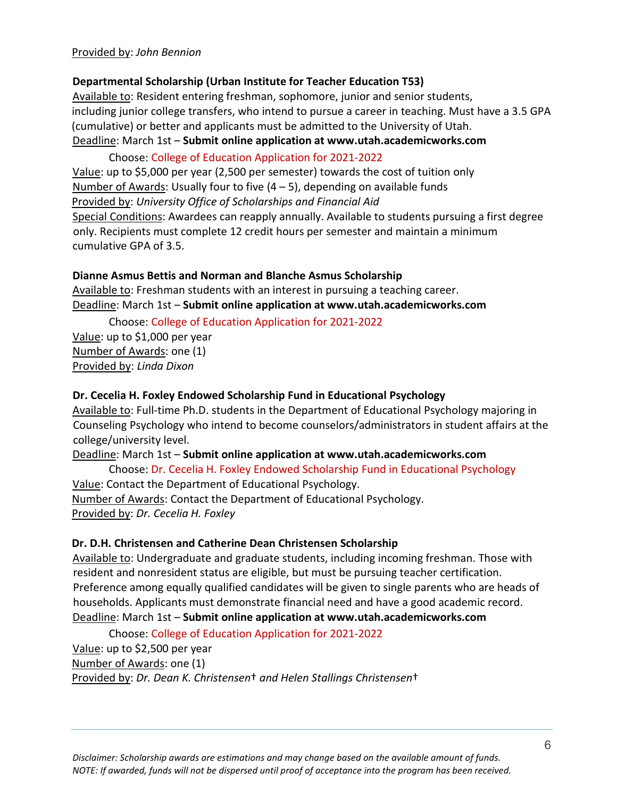#### Provided by: *John Bennion*

#### **Departmental Scholarship (Urban Institute for Teacher Education T53)**

Available to: Resident entering freshman, sophomore, junior and senior students, including junior college transfers, who intend to pursue a career in teaching. Must have a 3.5 GPA (cumulative) or better and applicants must be admitted to the University of Utah. Deadline: March 1st – **Submit online application at www.utah.academicworks.com**

#### Choose: College of Education Application for 2021-2022

Value: up to \$5,000 per year (2,500 per semester) towards the cost of tuition only Number of Awards: Usually four to five  $(4 - 5)$ , depending on available funds Provided by: *University Office of Scholarships and Financial Aid* Special Conditions: Awardees can reapply annually. Available to students pursuing a first degree only. Recipients must complete 12 credit hours per semester and maintain a minimum cumulative GPA of 3.5.

#### **Dianne Asmus Bettis and Norman and Blanche Asmus Scholarship**

Available to: Freshman students with an interest in pursuing a teaching career. Deadline: March 1st – **Submit online application at www.utah.academicworks.com**

Choose: College of Education Application for 2021-2022

Value: up to \$1,000 per year Number of Awards: one (1) Provided by: *Linda Dixon*

#### **Dr. Cecelia H. Foxley Endowed Scholarship Fund in Educational Psychology**

Available to: Full-time Ph.D. students in the Department of Educational Psychology majoring in Counseling Psychology who intend to become counselors/administrators in student affairs at the college/university level.

Deadline: March 1st – **Submit online application at www.utah.academicworks.com**

Choose: Dr. Cecelia H. Foxley Endowed Scholarship Fund in Educational Psychology Value: Contact the Department of Educational Psychology. Number of Awards: Contact the Department of Educational Psychology. Provided by: *Dr. Cecelia H. Foxley*

#### **Dr. D.H. Christensen and Catherine Dean Christensen Scholarship**

Available to: Undergraduate and graduate students, including incoming freshman. Those with resident and nonresident status are eligible, but must be pursuing teacher certification. Preference among equally qualified candidates will be given to single parents who are heads of households. Applicants must demonstrate financial need and have a good academic record. Deadline: March 1st – **Submit online application at www.utah.academicworks.com**

Choose: College of Education Application for 2021-2022

Value: up to \$2,500 per year Number of Awards: one (1)

Provided by: *Dr. Dean K. Christensen*† *and Helen Stallings Christensen*†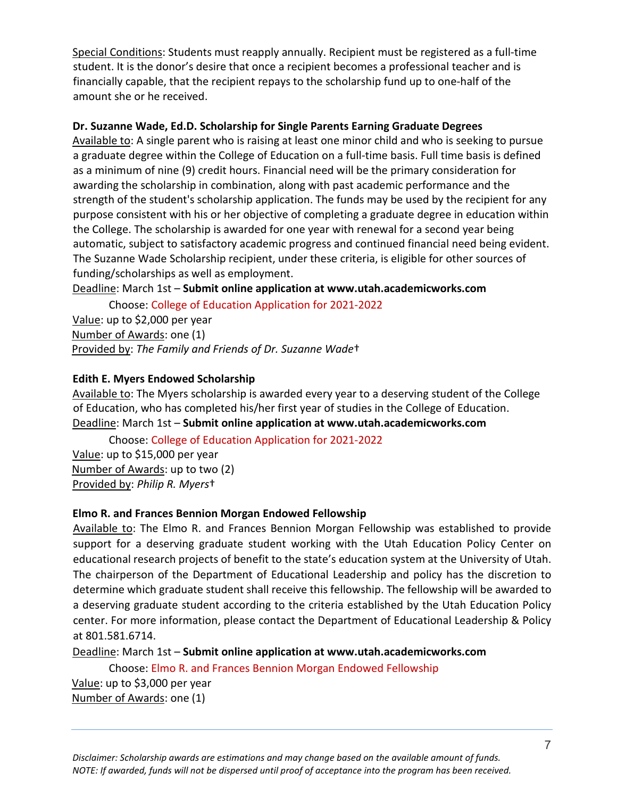Special Conditions: Students must reapply annually. Recipient must be registered as a full-time student. It is the donor's desire that once a recipient becomes a professional teacher and is financially capable, that the recipient repays to the scholarship fund up to one-half of the amount she or he received.

## **Dr. Suzanne Wade, Ed.D. Scholarship for Single Parents Earning Graduate Degrees**

Available to: A single parent who is raising at least one minor child and who is seeking to pursue a graduate degree within the College of Education on a full-time basis. Full time basis is defined as a minimum of nine (9) credit hours. Financial need will be the primary consideration for awarding the scholarship in combination, along with past academic performance and the strength of the student's scholarship application. The funds may be used by the recipient for any purpose consistent with his or her objective of completing a graduate degree in education within the College. The scholarship is awarded for one year with renewal for a second year being automatic, subject to satisfactory academic progress and continued financial need being evident. The Suzanne Wade Scholarship recipient, under these criteria, is eligible for other sources of funding/scholarships as well as employment.

Deadline: March 1st – **Submit online application at www.utah.academicworks.com**

Choose: College of Education Application for 2021-2022 Value: up to \$2,000 per year Number of Awards: one (1) Provided by: *The Family and Friends of Dr. Suzanne Wade*†

# **Edith E. Myers Endowed Scholarship**

Available to: The Myers scholarship is awarded every year to a deserving student of the College of Education, who has completed his/her first year of studies in the College of Education. Deadline: March 1st – **Submit online application at www.utah.academicworks.com**

Choose: College of Education Application for 2021-2022

Value: up to \$15,000 per year Number of Awards: up to two (2) Provided by: *Philip R. Myers*†

#### **Elmo R. and Frances Bennion Morgan Endowed Fellowship**

Available to: The Elmo R. and Frances Bennion Morgan Fellowship was established to provide support for a deserving graduate student working with the Utah Education Policy Center on educational research projects of benefit to the state's education system at the University of Utah. The chairperson of the Department of Educational Leadership and policy has the discretion to determine which graduate student shall receive this fellowship. The fellowship will be awarded to a deserving graduate student according to the criteria established by the Utah Education Policy center. For more information, please contact the Department of Educational Leadership & Policy at 801.581.6714.

Deadline: March 1st – **Submit online application at www.utah.academicworks.com**

Choose: Elmo R. and Frances Bennion Morgan Endowed Fellowship Value: up to \$3,000 per year

Number of Awards: one (1)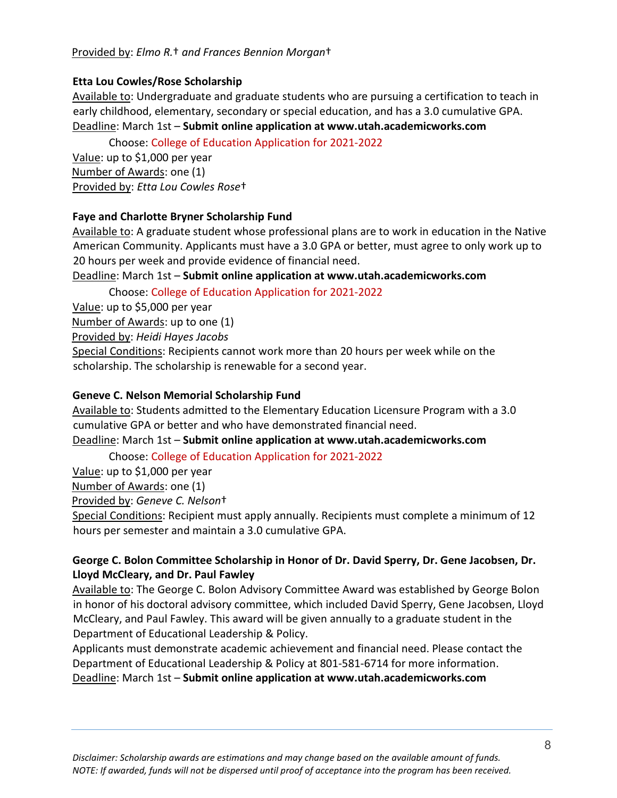## Provided by: *Elmo R.*† *and Frances Bennion Morgan*†

#### **Etta Lou Cowles/Rose Scholarship**

Available to: Undergraduate and graduate students who are pursuing a certification to teach in early childhood, elementary, secondary or special education, and has a 3.0 cumulative GPA. Deadline: March 1st – **Submit online application at www.utah.academicworks.com**

Choose: College of Education Application for 2021-2022

Value: up to \$1,000 per year Number of Awards: one (1) Provided by: *Etta Lou Cowles Rose*†

#### **Faye and Charlotte Bryner Scholarship Fund**

Available to: A graduate student whose professional plans are to work in education in the Native American Community. Applicants must have a 3.0 GPA or better, must agree to only work up to 20 hours per week and provide evidence of financial need.

Deadline: March 1st – **Submit online application at www.utah.academicworks.com**

Choose: College of Education Application for 2021-2022

Value: up to \$5,000 per year

Number of Awards: up to one (1)

Provided by: *Heidi Hayes Jacobs*

Special Conditions: Recipients cannot work more than 20 hours per week while on the scholarship. The scholarship is renewable for a second year.

#### **Geneve C. Nelson Memorial Scholarship Fund**

Available to: Students admitted to the Elementary Education Licensure Program with a 3.0 cumulative GPA or better and who have demonstrated financial need.

Deadline: March 1st – **Submit online application at www.utah.academicworks.com**

Choose: College of Education Application for 2021-2022

Value: up to \$1,000 per year

Number of Awards: one (1)

Provided by: *Geneve C. Nelson*†

Special Conditions: Recipient must apply annually. Recipients must complete a minimum of 12 hours per semester and maintain a 3.0 cumulative GPA.

# **George C. Bolon Committee Scholarship in Honor of Dr. David Sperry, Dr. Gene Jacobsen, Dr. Lloyd McCleary, and Dr. Paul Fawley**

Available to: The George C. Bolon Advisory Committee Award was established by George Bolon in honor of his doctoral advisory committee, which included David Sperry, Gene Jacobsen, Lloyd McCleary, and Paul Fawley. This award will be given annually to a graduate student in the Department of Educational Leadership & Policy.

Applicants must demonstrate academic achievement and financial need. Please contact the Department of Educational Leadership & Policy at 801-581-6714 for more information. Deadline: March 1st – **Submit online application at www.utah.academicworks.com**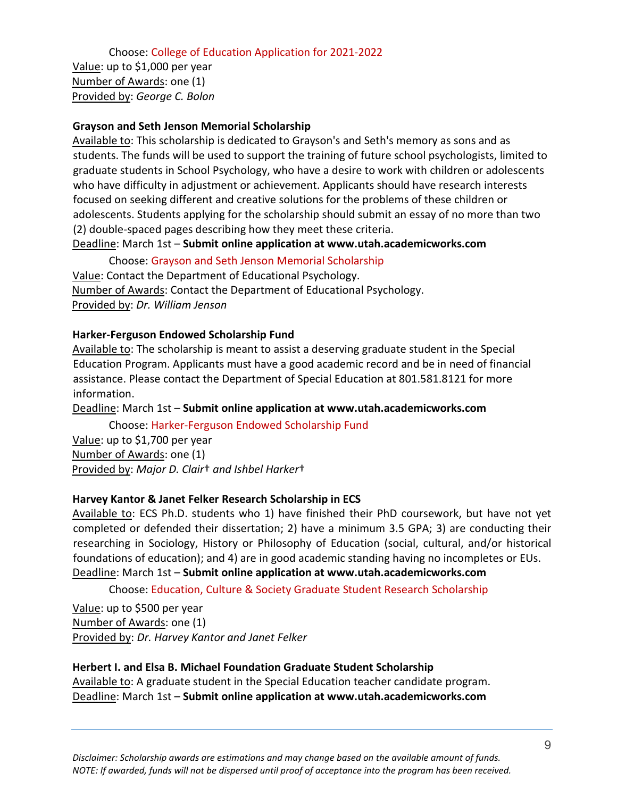Choose: College of Education Application for 2021-2022

Value: up to \$1,000 per year Number of Awards: one (1) Provided by: *George C. Bolon*

#### **Grayson and Seth Jenson Memorial Scholarship**

Available to: This scholarship is dedicated to Grayson's and Seth's memory as sons and as students. The funds will be used to support the training of future school psychologists, limited to graduate students in School Psychology, who have a desire to work with children or adolescents who have difficulty in adjustment or achievement. Applicants should have research interests focused on seeking different and creative solutions for the problems of these children or adolescents. Students applying for the scholarship should submit an essay of no more than two (2) double-spaced pages describing how they meet these criteria.

Deadline: March 1st – **Submit online application at www.utah.academicworks.com**

Choose: Grayson and Seth Jenson Memorial Scholarship Value: Contact the Department of Educational Psychology. Number of Awards: Contact the Department of Educational Psychology. Provided by: *Dr. William Jenson*

#### **Harker-Ferguson Endowed Scholarship Fund**

Available to: The scholarship is meant to assist a deserving graduate student in the Special Education Program. Applicants must have a good academic record and be in need of financial assistance. Please contact the Department of Special Education at 801.581.8121 for more information.

Deadline: March 1st – **Submit online application at www.utah.academicworks.com**

Choose: Harker-Ferguson Endowed Scholarship Fund

Value: up to \$1,700 per year Number of Awards: one (1) Provided by: *Major D. Clair*† *and Ishbel Harker*†

# **Harvey Kantor & Janet Felker Research Scholarship in ECS**

Available to: ECS Ph.D. students who 1) have finished their PhD coursework, but have not yet completed or defended their dissertation; 2) have a minimum 3.5 GPA; 3) are conducting their researching in Sociology, History or Philosophy of Education (social, cultural, and/or historical foundations of education); and 4) are in good academic standing having no incompletes or EUs. Deadline: March 1st – **Submit online application at www.utah.academicworks.com**

Choose: Education, Culture & Society Graduate Student Research Scholarship

Value: up to \$500 per year Number of Awards: one (1) Provided by: *Dr. Harvey Kantor and Janet Felker*

# **Herbert I. and Elsa B. Michael Foundation Graduate Student Scholarship**

Available to: A graduate student in the Special Education teacher candidate program. Deadline: March 1st – **Submit online application at www.utah.academicworks.com**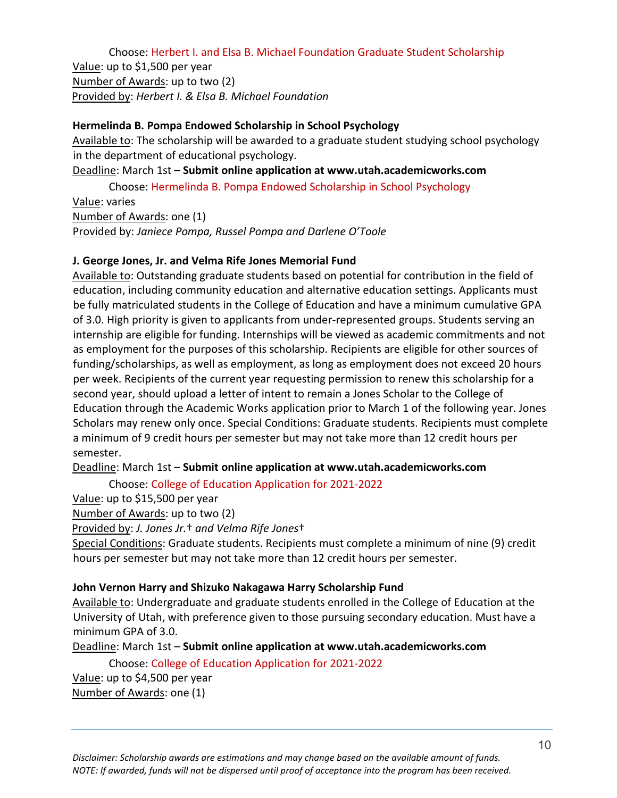Choose: Herbert I. and Elsa B. Michael Foundation Graduate Student Scholarship Value: up to \$1,500 per year Number of Awards: up to two (2) Provided by: *Herbert I. & Elsa B. Michael Foundation*

#### **Hermelinda B. Pompa Endowed Scholarship in School Psychology**

Available to: The scholarship will be awarded to a graduate student studying school psychology in the department of educational psychology.

Deadline: March 1st – **Submit online application at www.utah.academicworks.com**

Choose: Hermelinda B. Pompa Endowed Scholarship in School Psychology

Value: varies Number of Awards: one (1) Provided by: *Janiece Pompa, Russel Pompa and Darlene O'Toole*

#### **J. George Jones, Jr. and Velma Rife Jones Memorial Fund**

Available to: Outstanding graduate students based on potential for contribution in the field of education, including community education and alternative education settings. Applicants must be fully matriculated students in the College of Education and have a minimum cumulative GPA of 3.0. High priority is given to applicants from under-represented groups. Students serving an internship are eligible for funding. Internships will be viewed as academic commitments and not as employment for the purposes of this scholarship. Recipients are eligible for other sources of funding/scholarships, as well as employment, as long as employment does not exceed 20 hours per week. Recipients of the current year requesting permission to renew this scholarship for a second year, should upload a letter of intent to remain a Jones Scholar to the College of Education through the Academic Works application prior to March 1 of the following year. Jones Scholars may renew only once. Special Conditions: Graduate students. Recipients must complete a minimum of 9 credit hours per semester but may not take more than 12 credit hours per semester.

#### Deadline: March 1st – **Submit online application at www.utah.academicworks.com**

Choose: College of Education Application for 2021-2022

Value: up to \$15,500 per year

Number of Awards: up to two (2)

Provided by: *J. Jones Jr.*† *and Velma Rife Jones*†

Special Conditions: Graduate students. Recipients must complete a minimum of nine (9) credit hours per semester but may not take more than 12 credit hours per semester.

#### **John Vernon Harry and Shizuko Nakagawa Harry Scholarship Fund**

Available to: Undergraduate and graduate students enrolled in the College of Education at the University of Utah, with preference given to those pursuing secondary education. Must have a minimum GPA of 3.0.

Deadline: March 1st – **Submit online application at [www.utah.academicworks.com](http://www.utah.academicworks.com/)**

Choose: College of Education Application for 2021-2022

Value: up to \$4,500 per year Number of Awards: one (1)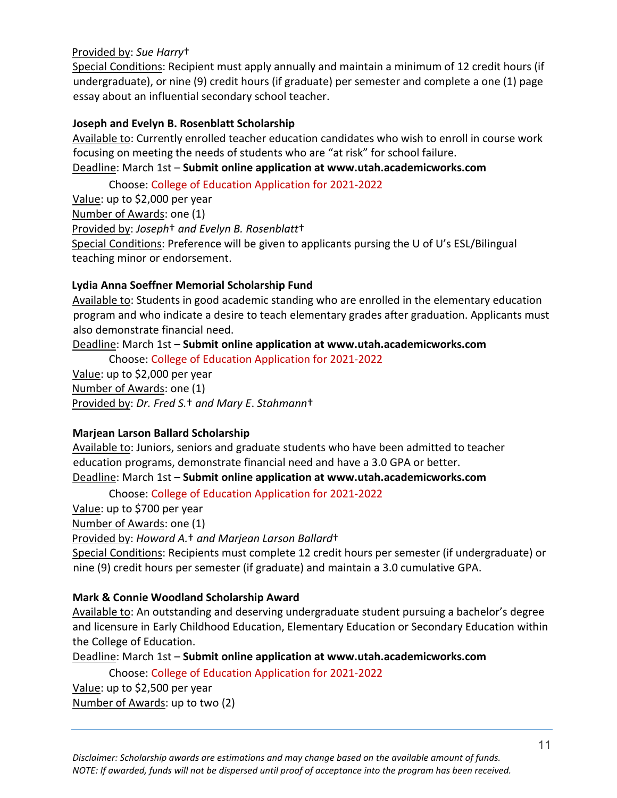#### Provided by: *Sue Harry*†

Special Conditions: Recipient must apply annually and maintain a minimum of 12 credit hours (if undergraduate), or nine (9) credit hours (if graduate) per semester and complete a one (1) page essay about an influential secondary school teacher.

## **Joseph and Evelyn B. Rosenblatt Scholarship**

Available to: Currently enrolled teacher education candidates who wish to enroll in course work focusing on meeting the needs of students who are "at risk" for school failure. Deadline: March 1st – **Submit online application at [www.utah.academicworks.com](http://www.utah.academicworks.com/)**

Choose: College of Education Application for 2021-2022

Value: up to \$2,000 per year Number of Awards: one (1) Provided by: *Joseph*† *and Evelyn B. Rosenblatt*† Special Conditions: Preference will be given to applicants pursing the U of U's ESL/Bilingual teaching minor or endorsement.

# **Lydia Anna Soeffner Memorial Scholarship Fund**

Available to: Students in good academic standing who are enrolled in the elementary education program and who indicate a desire to teach elementary grades after graduation. Applicants must also demonstrate financial need.

Deadline: March 1st – **Submit online application at www.utah.academicworks.com**

Choose: College of Education Application for 2021-2022

Value: up to \$2,000 per year Number of Awards: one (1) Provided by: *Dr. Fred S.*† *and Mary E*. *Stahmann*†

# **Marjean Larson Ballard Scholarship**

Available to: Juniors, seniors and graduate students who have been admitted to teacher education programs, demonstrate financial need and have a 3.0 GPA or better. Deadline: March 1st – **Submit online application at www.utah.academicworks.com**

Choose: College of Education Application for 2021-2022

Value: up to \$700 per year

Number of Awards: one (1)

Provided by: *Howard A.*† *and Marjean Larson Ballard*†

Special Conditions: Recipients must complete 12 credit hours per semester (if undergraduate) or nine (9) credit hours per semester (if graduate) and maintain a 3.0 cumulative GPA.

# **Mark & Connie Woodland Scholarship Award**

Available to: An outstanding and deserving undergraduate student pursuing a bachelor's degree and licensure in Early Childhood Education, Elementary Education or Secondary Education within the College of Education.

Deadline: March 1st – **Submit online application at www.utah.academicworks.com**

Choose: College of Education Application for 2021-2022

Value: up to \$2,500 per year Number of Awards: up to two (2)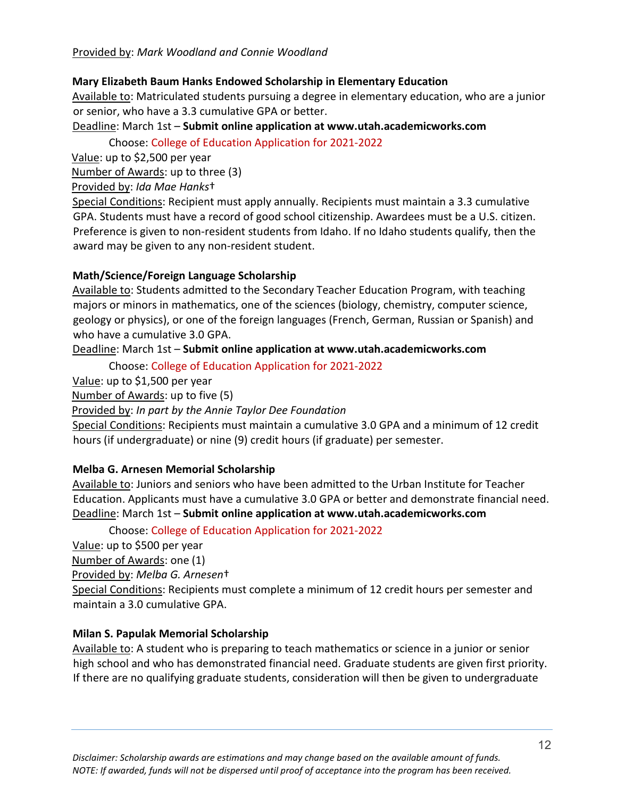## **Mary Elizabeth Baum Hanks Endowed Scholarship in Elementary Education**

Available to: Matriculated students pursuing a degree in elementary education, who are a junior or senior, who have a 3.3 cumulative GPA or better.

Deadline: March 1st – **Submit online application at www.utah.academicworks.com**

Choose: College of Education Application for 2021-2022

Value: up to \$2,500 per year

Number of Awards: up to three (3)

#### Provided by: *Ida Mae Hanks*†

Special Conditions: Recipient must apply annually. Recipients must maintain a 3.3 cumulative GPA. Students must have a record of good school citizenship. Awardees must be a U.S. citizen. Preference is given to non-resident students from Idaho. If no Idaho students qualify, then the award may be given to any non-resident student.

# **Math/Science/Foreign Language Scholarship**

Available to: Students admitted to the Secondary Teacher Education Program, with teaching majors or minors in mathematics, one of the sciences (biology, chemistry, computer science, geology or physics), or one of the foreign languages (French, German, Russian or Spanish) and who have a cumulative 3.0 GPA.

#### Deadline: March 1st – **Submit online application at www.utah.academicworks.com**

Choose: College of Education Application for 2021-2022

Value: up to \$1,500 per year

Number of Awards: up to five (5)

Provided by: *In part by the Annie Taylor Dee Foundation*

Special Conditions: Recipients must maintain a cumulative 3.0 GPA and a minimum of 12 credit hours (if undergraduate) or nine (9) credit hours (if graduate) per semester.

# **Melba G. Arnesen Memorial Scholarship**

Available to: Juniors and seniors who have been admitted to the Urban Institute for Teacher Education. Applicants must have a cumulative 3.0 GPA or better and demonstrate financial need. Deadline: March 1st – **Submit online application at www.utah.academicworks.com**

Choose: College of Education Application for 2021-2022

Value: up to \$500 per year Number of Awards: one (1) Provided by: *Melba G. Arnesen*† Special Conditions: Recipients must complete a minimum of 12 credit hours per semester and maintain a 3.0 cumulative GPA.

# **Milan S. Papulak Memorial Scholarship**

Available to: A student who is preparing to teach mathematics or science in a junior or senior high school and who has demonstrated financial need. Graduate students are given first priority. If there are no qualifying graduate students, consideration will then be given to undergraduate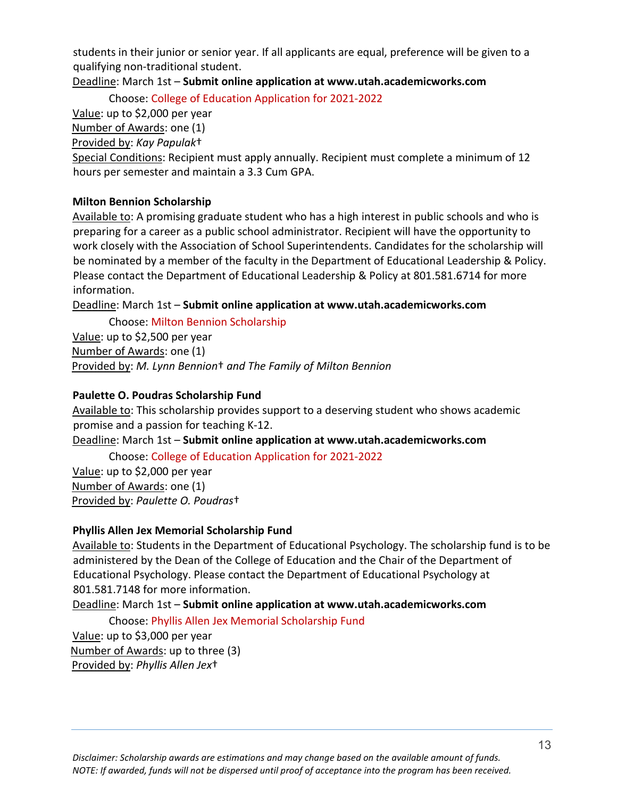students in their junior or senior year. If all applicants are equal, preference will be given to a qualifying non-traditional student.

Deadline: March 1st – **Submit online application at www.utah.academicworks.com**

Choose: College of Education Application for 2021-2022

Value: up to \$2,000 per year

Number of Awards: one (1)

Provided by: *Kay Papulak*†

Special Conditions: Recipient must apply annually. Recipient must complete a minimum of 12 hours per semester and maintain a 3.3 Cum GPA.

# **Milton Bennion Scholarship**

Available to: A promising graduate student who has a high interest in public schools and who is preparing for a career as a public school administrator. Recipient will have the opportunity to work closely with the Association of School Superintendents. Candidates for the scholarship will be nominated by a member of the faculty in the Department of Educational Leadership & Policy. Please contact the Department of Educational Leadership & Policy at 801.581.6714 for more information.

Deadline: March 1st – **Submit online application at www.utah.academicworks.com**

Choose: Milton Bennion Scholarship

Value: up to \$2,500 per year Number of Awards: one (1) Provided by: *M. Lynn Bennion*† *and The Family of Milton Bennion*

# **Paulette O. Poudras Scholarship Fund**

Available to: This scholarship provides support to a deserving student who shows academic promise and a passion for teaching K-12.

Deadline: March 1st – **Submit online application at www.utah.academicworks.com**

Choose: College of Education Application for 2021-2022

Value: up to \$2,000 per year Number of Awards: one (1) Provided by: *Paulette O. Poudras*†

# **Phyllis Allen Jex Memorial Scholarship Fund**

Available to: Students in the Department of Educational Psychology. The scholarship fund is to be administered by the Dean of the College of Education and the Chair of the Department of Educational Psychology. Please contact the Department of Educational Psychology at 801.581.7148 for more information.

# Deadline: March 1st – **Submit online application at www.utah.academicworks.com**

Choose: Phyllis Allen Jex Memorial Scholarship Fund

Value: up to \$3,000 per year Number of Awards: up to three (3) Provided by: *Phyllis Allen Jex*†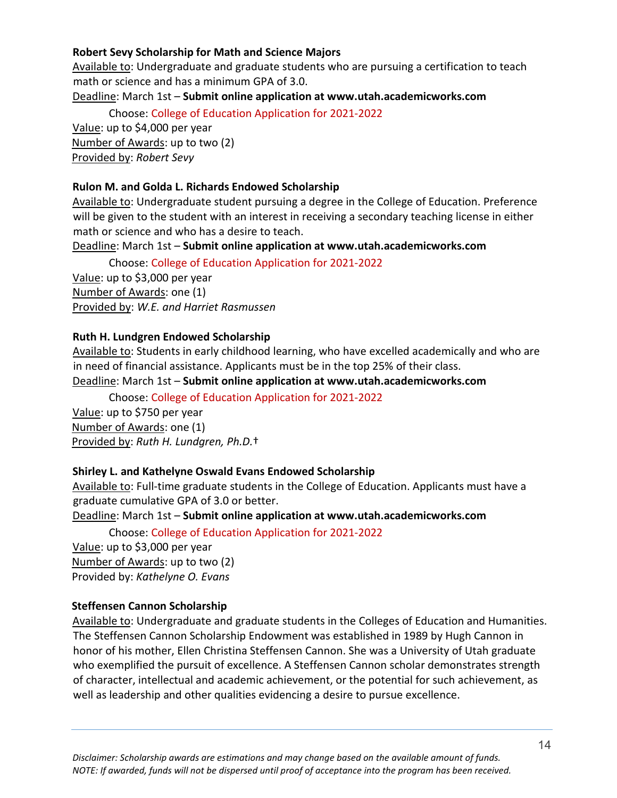# **Robert Sevy Scholarship for Math and Science Majors**

Available to: Undergraduate and graduate students who are pursuing a certification to teach math or science and has a minimum GPA of 3.0.

Deadline: March 1st – **Submit online application at www.utah.academicworks.com**

Choose: College of Education Application for 2021-2022

Value: up to \$4,000 per year Number of Awards: up to two (2) Provided by: *Robert Sevy*

# **Rulon M. and Golda L. Richards Endowed Scholarship**

Available to: Undergraduate student pursuing a degree in the College of Education. Preference will be given to the student with an interest in receiving a secondary teaching license in either math or science and who has a desire to teach.

Deadline: March 1st – **Submit online application at www.utah.academicworks.com**

Choose: College of Education Application for 2021-2022

Value: up to \$3,000 per year Number of Awards: one (1) Provided by: *W.E. and Harriet Rasmussen*

# **Ruth H. Lundgren Endowed Scholarship**

Available to: Students in early childhood learning, who have excelled academically and who are in need of financial assistance. Applicants must be in the top 25% of their class. Deadline: March 1st – **Submit online application at www.utah.academicworks.com**

Choose: College of Education Application for 2021-2022

Value: up to \$750 per year Number of Awards: one (1) Provided by: *Ruth H. Lundgren, Ph.D.*†

# **Shirley L. and Kathelyne Oswald Evans Endowed Scholarship**

Available to: Full-time graduate students in the College of Education. Applicants must have a graduate cumulative GPA of 3.0 or better.

Deadline: March 1st – **Submit online application at www.utah.academicworks.com**

Choose: College of Education Application for 2021-2022

Value: up to \$3,000 per year Number of Awards: up to two (2) Provided by: *Kathelyne O. Evans*

# **Steffensen Cannon Scholarship**

Available to: Undergraduate and graduate students in the Colleges of Education and Humanities. The Steffensen Cannon Scholarship Endowment was established in 1989 by Hugh Cannon in honor of his mother, Ellen Christina Steffensen Cannon. She was a University of Utah graduate who exemplified the pursuit of excellence. A Steffensen Cannon scholar demonstrates strength of character, intellectual and academic achievement, or the potential for such achievement, as well as leadership and other qualities evidencing a desire to pursue excellence.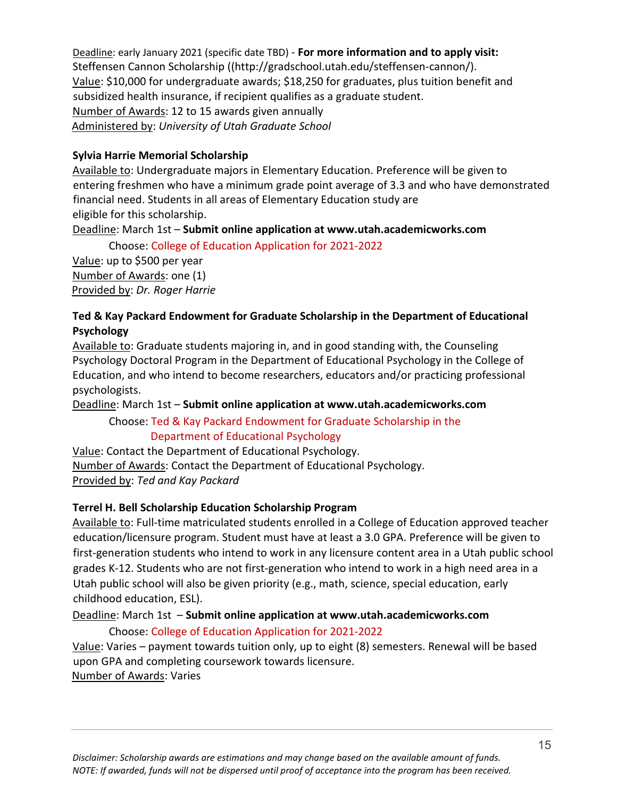Deadline: early January 2021 (specific date TBD) - **For more information and to apply visit:** [Steffensen Cannon Scholarship](http://gradschool.utah.edu/steffensen-cannon/) ((http://gradschool.utah.edu/steffensen-cannon/). Value: \$10,000 for undergraduate awards; \$18,250 for graduates, plus tuition benefit and subsidized health insurance, if recipient qualifies as a graduate student. Number of Awards: 12 to 15 awards given annually Administered by: *University of Utah Graduate School*

# **Sylvia Harrie Memorial Scholarship**

Available to: Undergraduate majors in Elementary Education. Preference will be given to entering freshmen who have a minimum grade point average of 3.3 and who have demonstrated financial need. Students in all areas of Elementary Education study are eligible for this scholarship.

Deadline: March 1st – **Submit online application at www.utah.academicworks.com**

Choose: College of Education Application for 2021-2022 Value: up to \$500 per year Number of Awards: one (1) Provided by: *Dr. Roger Harrie*

# **Ted & Kay Packard Endowment for Graduate Scholarship in the Department of Educational Psychology**

Available to: Graduate students majoring in, and in good standing with, the Counseling Psychology Doctoral Program in the Department of Educational Psychology in the College of Education, and who intend to become researchers, educators and/or practicing professional psychologists.

Deadline: March 1st – **Submit online application at www.utah.academicworks.com**

# Choose: Ted & Kay Packard Endowment for Graduate Scholarship in the Department of Educational Psychology

Value: Contact the Department of Educational Psychology. Number of Awards: Contact the Department of Educational Psychology. Provided by: *Ted and Kay Packard*

# **Terrel H. Bell Scholarship Education Scholarship Program**

Available to: Full-time matriculated students enrolled in a College of Education approved teacher education/licensure program. Student must have at least a 3.0 GPA. Preference will be given to first-generation students who intend to work in any licensure content area in a Utah public school grades K-12. Students who are not first-generation who intend to work in a high need area in a Utah public school will also be given priority (e.g., math, science, special education, early childhood education, ESL).

Deadline: March 1st – **Submit online application at [www.utah.academicworks.com](http://www.utah.academicworks.com/)**

# Choose: College of Education Application for 2021-2022

Value: Varies – payment towards tuition only, up to eight (8) semesters. Renewal will be based upon GPA and completing coursework towards licensure. Number of Awards: Varies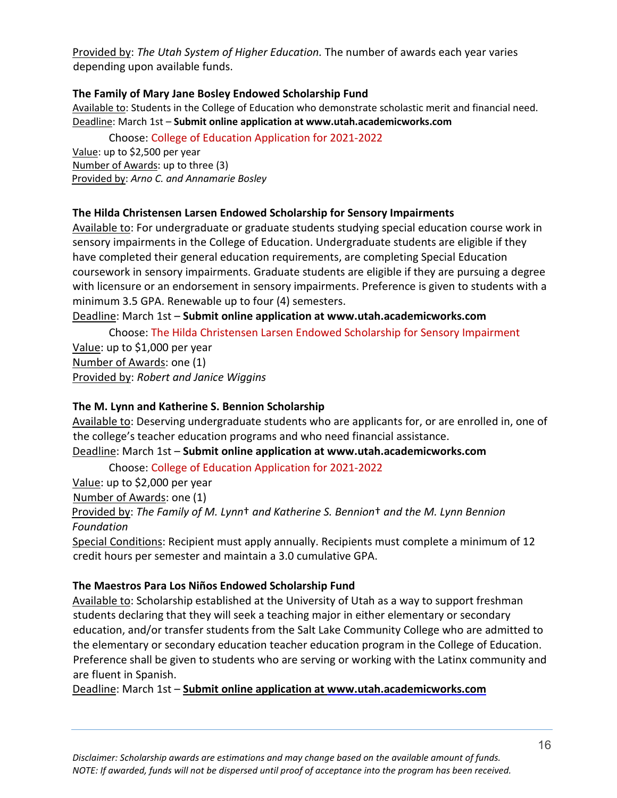Provided by: *The Utah System of Higher Education.* The number of awards each year varies depending upon available funds.

# **The Family of Mary Jane Bosley Endowed Scholarship Fund**

Available to: Students in the College of Education who demonstrate scholastic merit and financial need. Deadline: March 1st – **Submit online application at www.utah.academicworks.com**

Choose: College of Education Application for 2021-2022

Value: up to \$2,500 per year Number of Awards: up to three (3) Provided by: *Arno C. and Annamarie Bosley*

#### **The Hilda Christensen Larsen Endowed Scholarship for Sensory Impairments**

Available to: For undergraduate or graduate students studying special education course work in sensory impairments in the College of Education. Undergraduate students are eligible if they have completed their general education requirements, are completing Special Education coursework in sensory impairments. Graduate students are eligible if they are pursuing a degree with licensure or an endorsement in sensory impairments. Preference is given to students with a minimum 3.5 GPA. Renewable up to four (4) semesters.

Deadline: March 1st – **Submit online application at www.utah.academicworks.com**

Choose: The Hilda Christensen Larsen Endowed Scholarship for Sensory Impairment Value: up to \$1,000 per year Number of Awards: one (1) Provided by: *Robert and Janice Wiggins*

# **The M. Lynn and Katherine S. Bennion Scholarship**

Available to: Deserving undergraduate students who are applicants for, or are enrolled in, one of the college's teacher education programs and who need financial assistance.

Deadline: March 1st – **Submit online application at www.utah.academicworks.com**

Choose: College of Education Application for 2021-2022

Value: up to \$2,000 per year

Number of Awards: one (1)

Provided by: *The Family of M. Lynn*† *and Katherine S. Bennion*† *and the M. Lynn Bennion Foundation*

Special Conditions: Recipient must apply annually. Recipients must complete a minimum of 12 credit hours per semester and maintain a 3.0 cumulative GPA.

# **The Maestros Para Los Niños Endowed Scholarship Fund**

Available to: Scholarship established at the University of Utah as a way to support freshman students declaring that they will seek a teaching major in either elementary or secondary education, and/or transfer students from the Salt Lake Community College who are admitted to the elementary or secondary education teacher education program in the College of Education. Preference shall be given to students who are serving or working with the Latinx community and are fluent in Spanish.

Deadline: March 1st – **Submit online application at [www.utah.academicworks.com](http://www.utah.academicworks.com/)**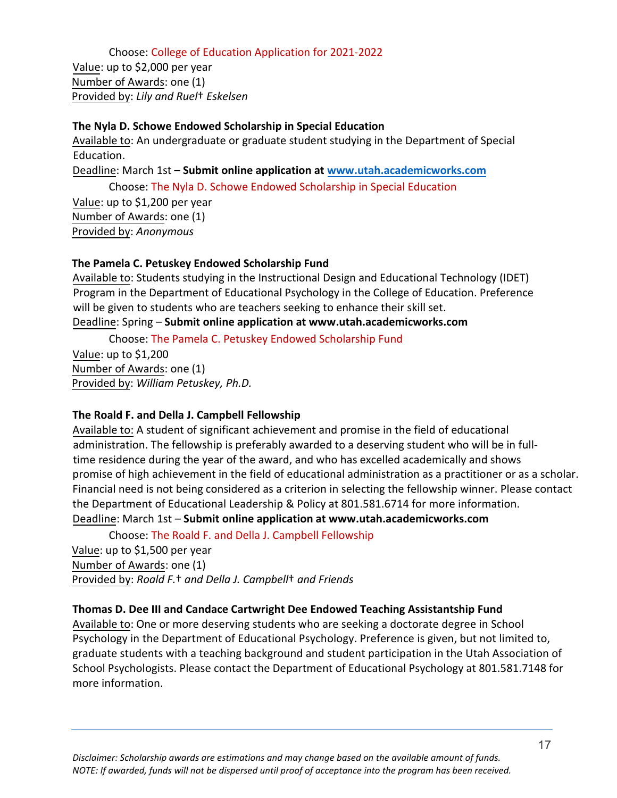Choose: College of Education Application for 2021-2022 Value: up to \$2,000 per year Number of Awards: one (1) Provided by: *Lily and Ruel*† *Eskelsen*

**The Nyla D. Schowe Endowed Scholarship in Special Education**

Available to: An undergraduate or graduate student studying in the Department of Special Education.

Deadline: March 1st – **Submit online application at [www.utah.academicworks.com](http://www.utah.academicworks.com/)**

Choose: The Nyla D. Schowe Endowed Scholarship in Special Education Value: up to \$1,200 per year Number of Awards: one (1) Provided by: *Anonymous*

#### **The Pamela C. Petuskey Endowed Scholarship Fund**

Available to: Students studying in the Instructional Design and Educational Technology (IDET) Program in the Department of Educational Psychology in the College of Education. Preference will be given to students who are teachers seeking to enhance their skill set. Deadline: Spring – **Submit online application at www.utah.academicworks.com**

Choose: The Pamela C. Petuskey Endowed Scholarship Fund Value: up to \$1,200 Number of Awards: one (1)

Provided by: *William Petuskey, Ph.D.*

# **The Roald F. and Della J. Campbell Fellowship**

Available to: A student of significant achievement and promise in the field of educational administration. The fellowship is preferably awarded to a deserving student who will be in fulltime residence during the year of the award, and who has excelled academically and shows promise of high achievement in the field of educational administration as a practitioner or as a scholar. Financial need is not being considered as a criterion in selecting the fellowship winner. Please contact the Department of Educational Leadership & Policy at 801.581.6714 for more information. Deadline: March 1st – **Submit online application at www.utah.academicworks.com** 

Choose: The Roald F. and Della J. Campbell Fellowship Value: up to \$1,500 per year Number of Awards: one (1) Provided by: *Roald F.*† *and Della J. Campbell*† *and Friends* 

# **Thomas D. Dee III and Candace Cartwright Dee Endowed Teaching Assistantship Fund**

Available to: One or more deserving students who are seeking a doctorate degree in School Psychology in the Department of Educational Psychology. Preference is given, but not limited to, graduate students with a teaching background and student participation in the Utah Association of School Psychologists. Please contact the Department of Educational Psychology at 801.581.7148 for more information.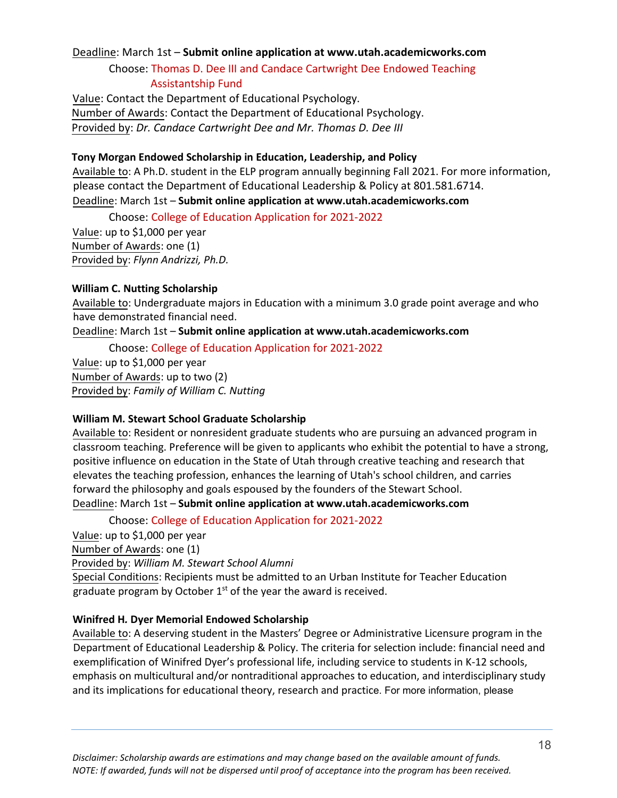#### Deadline: March 1st – **Submit online application at [www.utah.academicworks.com](http://www.utah.academicworks.com/)**

# Choose: Thomas D. Dee III and Candace Cartwright Dee Endowed Teaching Assistantship Fund

Value: Contact the Department of Educational Psychology. Number of Awards: Contact the Department of Educational Psychology. Provided by: *Dr. Candace Cartwright Dee and Mr. Thomas D. Dee III*

#### **Tony Morgan Endowed Scholarship in Education, Leadership, and Policy**

Available to: A Ph.D. student in the ELP program annually beginning Fall 2021. For more information, please contact the Department of Educational Leadership & Policy at 801.581.6714. Deadline: March 1st – **Submit online application at www.utah.academicworks.com**

Choose: College of Education Application for 2021-2022

Value: up to \$1,000 per year Number of Awards: one (1) Provided by: *Flynn Andrizzi, Ph.D.*

#### **William C. Nutting Scholarship**

Available to: Undergraduate majors in Education with a minimum 3.0 grade point average and who have demonstrated financial need.

Deadline: March 1st – **Submit online application at www.utah.academicworks.com**

Choose: College of Education Application for 2021-2022

Value: up to \$1,000 per year Number of Awards: up to two (2) Provided by: *Family of William C. Nutting*

#### **William M. Stewart School Graduate Scholarship**

Available to: Resident or nonresident graduate students who are pursuing an advanced program in classroom teaching. Preference will be given to applicants who exhibit the potential to have a strong, positive influence on education in the State of Utah through creative teaching and research that elevates the teaching profession, enhances the learning of Utah's school children, and carries forward the philosophy and goals espoused by the founders of the Stewart School.

Deadline: March 1st – **Submit online application at www.utah.academicworks.com**

Choose: College of Education Application for 2021-2022

Value: up to \$1,000 per year

Number of Awards: one (1)

Provided by: *William M. Stewart School Alumni*

Special Conditions: Recipients must be admitted to an Urban Institute for Teacher Education graduate program by October 1<sup>st</sup> of the year the award is received.

#### **Winifred H***.* **Dyer Memorial Endowed Scholarship**

Available to: A deserving student in the Masters' Degree or Administrative Licensure program in the Department of Educational Leadership & Policy. The criteria for selection include: financial need and exemplification of Winifred Dyer's professional life, including service to students in K-12 schools, emphasis on multicultural and/or nontraditional approaches to education, and interdisciplinary study and its implications for educational theory, research and practice. For more information, please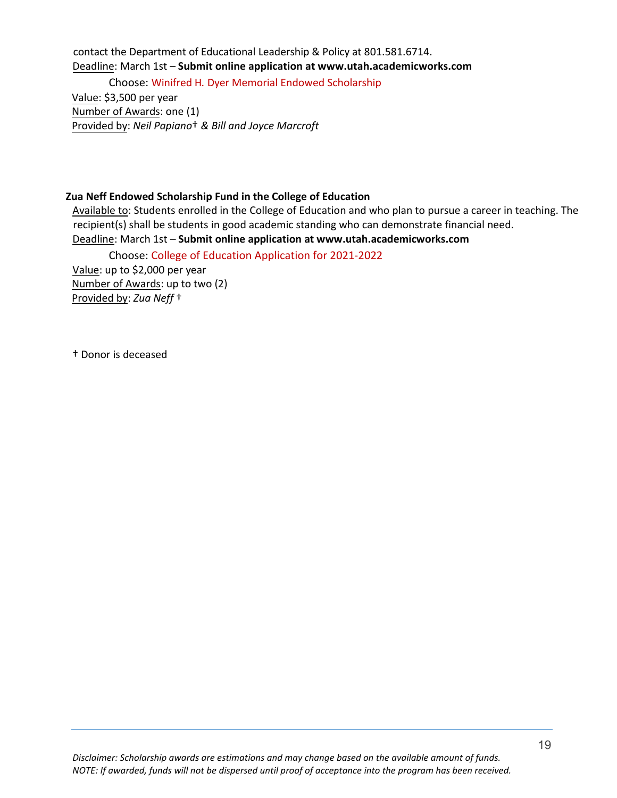contact the Department of Educational Leadership & Policy at 801.581.6714. Deadline: March 1st – **Submit online application at www.utah.academicworks.com**

Choose: Winifred H*.* Dyer Memorial Endowed Scholarship

Value: \$3,500 per year Number of Awards: one (1) Provided by: *Neil Papiano*† *& Bill and Joyce Marcroft*

#### **Zua Neff Endowed Scholarship Fund in the College of Education**

Available to: Students enrolled in the College of Education and who plan to pursue a career in teaching. The recipient(s) shall be students in good academic standing who can demonstrate financial need. Deadline: March 1st – **Submit online application at www.utah.academicworks.com**

Choose: College of Education Application for 2021-2022 Value: up to \$2,000 per year Number of Awards: up to two (2) Provided by: *Zua Neff* †

† Donor is deceased